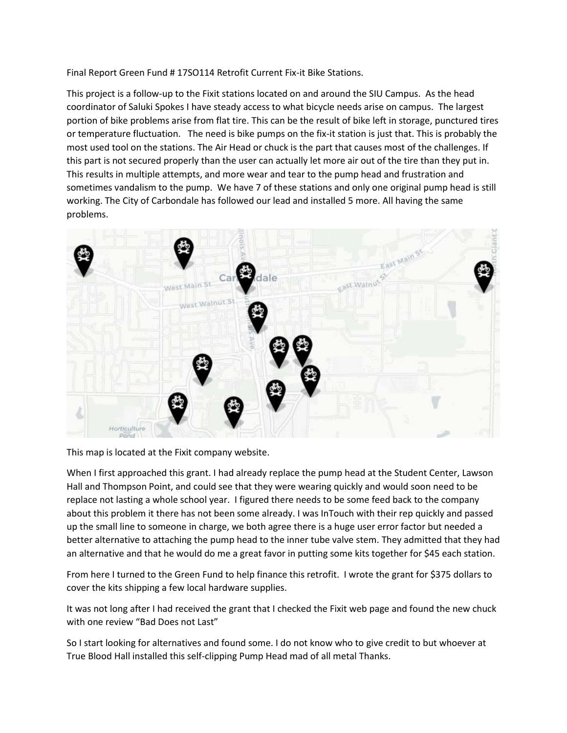Final Report Green Fund # 17SO114 Retrofit Current Fix-it Bike Stations.

This project is a follow-up to the Fixit stations located on and around the SIU Campus. As the head coordinator of Saluki Spokes I have steady access to what bicycle needs arise on campus. The largest portion of bike problems arise from flat tire. This can be the result of bike left in storage, punctured tires or temperature fluctuation. The need is bike pumps on the fix-it station is just that. This is probably the most used tool on the stations. The Air Head or chuck is the part that causes most of the challenges. If this part is not secured properly than the user can actually let more air out of the tire than they put in. This results in multiple attempts, and more wear and tear to the pump head and frustration and sometimes vandalism to the pump. We have 7 of these stations and only one original pump head is still working. The City of Carbondale has followed our lead and installed 5 more. All having the same problems.



This map is located at the Fixit company website.

When I first approached this grant. I had already replace the pump head at the Student Center, Lawson Hall and Thompson Point, and could see that they were wearing quickly and would soon need to be replace not lasting a whole school year. I figured there needs to be some feed back to the company about this problem it there has not been some already. I was InTouch with their rep quickly and passed up the small line to someone in charge, we both agree there is a huge user error factor but needed a better alternative to attaching the pump head to the inner tube valve stem. They admitted that they had an alternative and that he would do me a great favor in putting some kits together for \$45 each station.

From here I turned to the Green Fund to help finance this retrofit. I wrote the grant for \$375 dollars to cover the kits shipping a few local hardware supplies.

It was not long after I had received the grant that I checked the Fixit web page and found the new chuck with one review "Bad Does not Last"

So I start looking for alternatives and found some. I do not know who to give credit to but whoever at True Blood Hall installed this self-clipping Pump Head mad of all metal Thanks.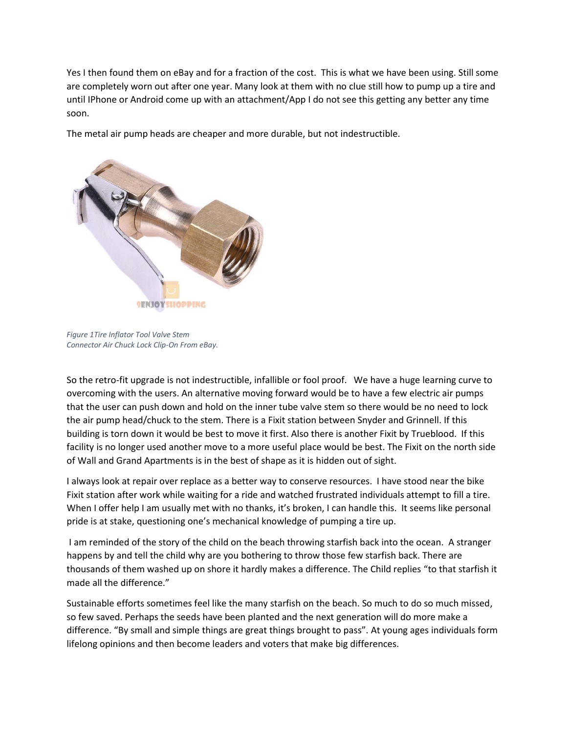Yes I then found them on eBay and for a fraction of the cost. This is what we have been using. Still some are completely worn out after one year. Many look at them with no clue still how to pump up a tire and until IPhone or Android come up with an attachment/App I do not see this getting any better any time soon.

The metal air pump heads are cheaper and more durable, but not indestructible.



*Figure 1Tire Inflator Tool Valve Stem Connector Air Chuck Lock Clip-On From eBay.*

So the retro-fit upgrade is not indestructible, infallible or fool proof. We have a huge learning curve to overcoming with the users. An alternative moving forward would be to have a few electric air pumps that the user can push down and hold on the inner tube valve stem so there would be no need to lock the air pump head/chuck to the stem. There is a Fixit station between Snyder and Grinnell. If this building is torn down it would be best to move it first. Also there is another Fixit by Trueblood. If this facility is no longer used another move to a more useful place would be best. The Fixit on the north side of Wall and Grand Apartments is in the best of shape as it is hidden out of sight.

I always look at repair over replace as a better way to conserve resources. I have stood near the bike Fixit station after work while waiting for a ride and watched frustrated individuals attempt to fill a tire. When I offer help I am usually met with no thanks, it's broken, I can handle this. It seems like personal pride is at stake, questioning one's mechanical knowledge of pumping a tire up.

I am reminded of the story of the child on the beach throwing starfish back into the ocean. A stranger happens by and tell the child why are you bothering to throw those few starfish back. There are thousands of them washed up on shore it hardly makes a difference. The Child replies "to that starfish it made all the difference."

Sustainable efforts sometimes feel like the many starfish on the beach. So much to do so much missed, so few saved. Perhaps the seeds have been planted and the next generation will do more make a difference. "By small and simple things are great things brought to pass". At young ages individuals form lifelong opinions and then become leaders and voters that make big differences.